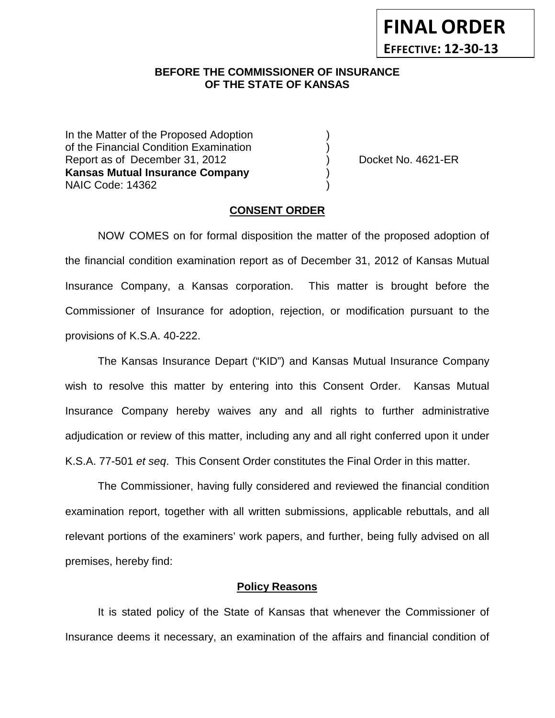# **BEFORE THE COMMISSIONER OF INSURANCE OF THE STATE OF KANSAS**

In the Matter of the Proposed Adoption of the Financial Condition Examination ) Report as of December 31, 2012 (and Separate No. 4621-ER **Kansas Mutual Insurance Company** ) NAIC Code: 14362 )

**FINAL ORDER**

**EFFECTIVE: 12-30-13**

#### **CONSENT ORDER**

NOW COMES on for formal disposition the matter of the proposed adoption of the financial condition examination report as of December 31, 2012 of Kansas Mutual Insurance Company, a Kansas corporation. This matter is brought before the Commissioner of Insurance for adoption, rejection, or modification pursuant to the provisions of K.S.A. 40-222.

The Kansas Insurance Depart ("KID") and Kansas Mutual Insurance Company wish to resolve this matter by entering into this Consent Order. Kansas Mutual Insurance Company hereby waives any and all rights to further administrative adjudication or review of this matter, including any and all right conferred upon it under K.S.A. 77-501 *et seq*. This Consent Order constitutes the Final Order in this matter.

The Commissioner, having fully considered and reviewed the financial condition examination report, together with all written submissions, applicable rebuttals, and all relevant portions of the examiners' work papers, and further, being fully advised on all premises, hereby find:

#### **Policy Reasons**

It is stated policy of the State of Kansas that whenever the Commissioner of Insurance deems it necessary, an examination of the affairs and financial condition of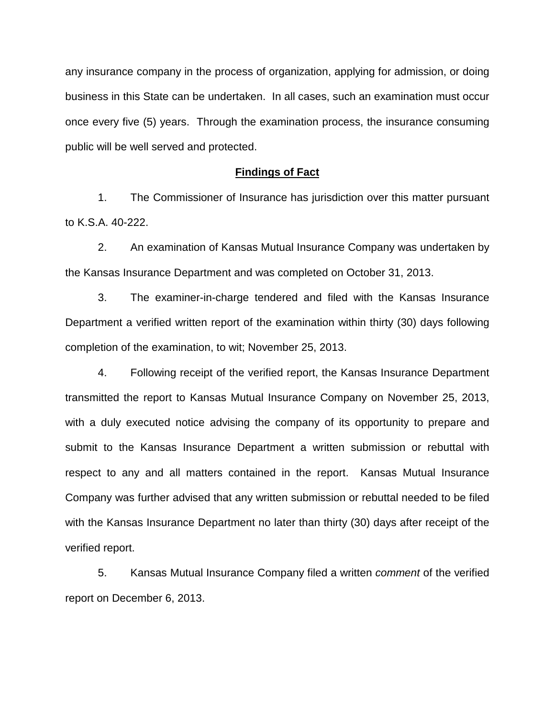any insurance company in the process of organization, applying for admission, or doing business in this State can be undertaken. In all cases, such an examination must occur once every five (5) years. Through the examination process, the insurance consuming public will be well served and protected.

#### **Findings of Fact**

1. The Commissioner of Insurance has jurisdiction over this matter pursuant to K.S.A. 40-222.

2. An examination of Kansas Mutual Insurance Company was undertaken by the Kansas Insurance Department and was completed on October 31, 2013.

3. The examiner-in-charge tendered and filed with the Kansas Insurance Department a verified written report of the examination within thirty (30) days following completion of the examination, to wit; November 25, 2013.

4. Following receipt of the verified report, the Kansas Insurance Department transmitted the report to Kansas Mutual Insurance Company on November 25, 2013, with a duly executed notice advising the company of its opportunity to prepare and submit to the Kansas Insurance Department a written submission or rebuttal with respect to any and all matters contained in the report. Kansas Mutual Insurance Company was further advised that any written submission or rebuttal needed to be filed with the Kansas Insurance Department no later than thirty (30) days after receipt of the verified report.

5. Kansas Mutual Insurance Company filed a written *comment* of the verified report on December 6, 2013.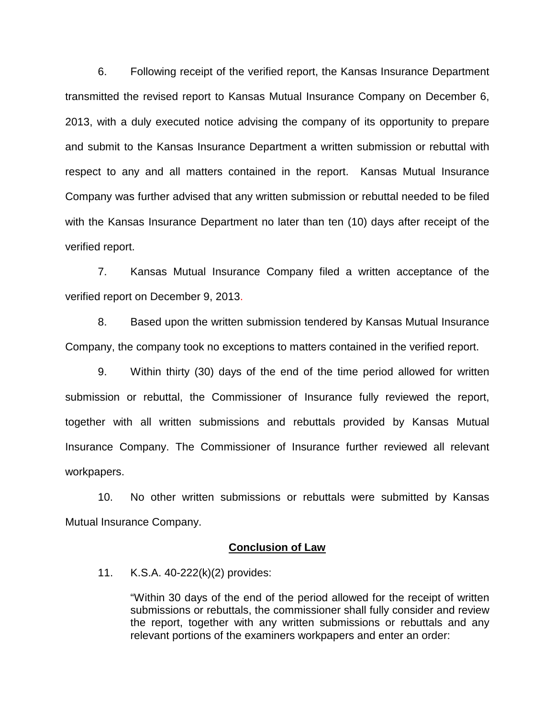6. Following receipt of the verified report, the Kansas Insurance Department transmitted the revised report to Kansas Mutual Insurance Company on December 6, 2013, with a duly executed notice advising the company of its opportunity to prepare and submit to the Kansas Insurance Department a written submission or rebuttal with respect to any and all matters contained in the report. Kansas Mutual Insurance Company was further advised that any written submission or rebuttal needed to be filed with the Kansas Insurance Department no later than ten (10) days after receipt of the verified report.

7. Kansas Mutual Insurance Company filed a written acceptance of the verified report on December 9, 2013.

8. Based upon the written submission tendered by Kansas Mutual Insurance Company, the company took no exceptions to matters contained in the verified report.

9. Within thirty (30) days of the end of the time period allowed for written submission or rebuttal, the Commissioner of Insurance fully reviewed the report, together with all written submissions and rebuttals provided by Kansas Mutual Insurance Company. The Commissioner of Insurance further reviewed all relevant workpapers.

10. No other written submissions or rebuttals were submitted by Kansas Mutual Insurance Company.

#### **Conclusion of Law**

11. K.S.A. 40-222(k)(2) provides:

"Within 30 days of the end of the period allowed for the receipt of written submissions or rebuttals, the commissioner shall fully consider and review the report, together with any written submissions or rebuttals and any relevant portions of the examiners workpapers and enter an order: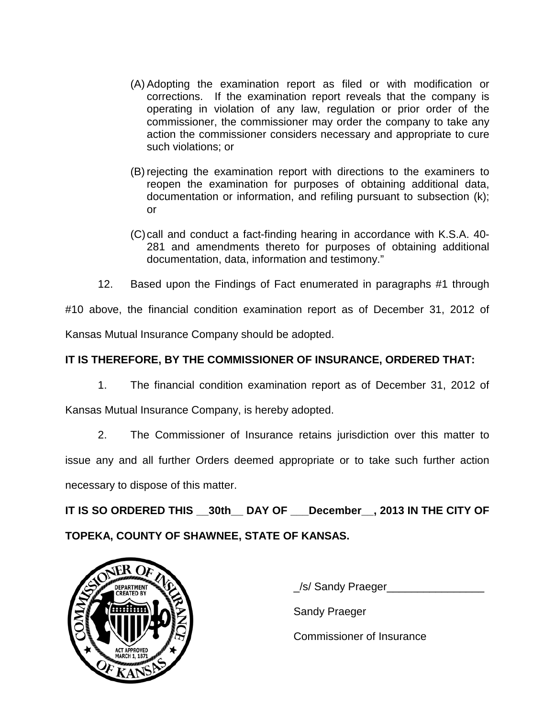- (A) Adopting the examination report as filed or with modification or corrections. If the examination report reveals that the company is operating in violation of any law, regulation or prior order of the commissioner, the commissioner may order the company to take any action the commissioner considers necessary and appropriate to cure such violations; or
- (B) rejecting the examination report with directions to the examiners to reopen the examination for purposes of obtaining additional data, documentation or information, and refiling pursuant to subsection (k); or
- (C)call and conduct a fact-finding hearing in accordance with K.S.A. 40- 281 and amendments thereto for purposes of obtaining additional documentation, data, information and testimony."
- 12. Based upon the Findings of Fact enumerated in paragraphs #1 through

#10 above, the financial condition examination report as of December 31, 2012 of Kansas Mutual Insurance Company should be adopted.

## **IT IS THEREFORE, BY THE COMMISSIONER OF INSURANCE, ORDERED THAT:**

1. The financial condition examination report as of December 31, 2012 of

Kansas Mutual Insurance Company, is hereby adopted.

2. The Commissioner of Insurance retains jurisdiction over this matter to issue any and all further Orders deemed appropriate or to take such further action necessary to dispose of this matter.

**IT IS SO ORDERED THIS \_\_30th\_\_ DAY OF \_\_\_December\_\_, 2013 IN THE CITY OF** 

## **TOPEKA, COUNTY OF SHAWNEE, STATE OF KANSAS.**



\_/s/ Sandy Praeger\_\_\_\_\_\_\_\_\_\_\_\_\_\_\_\_

Sandy Praeger

Commissioner of Insurance